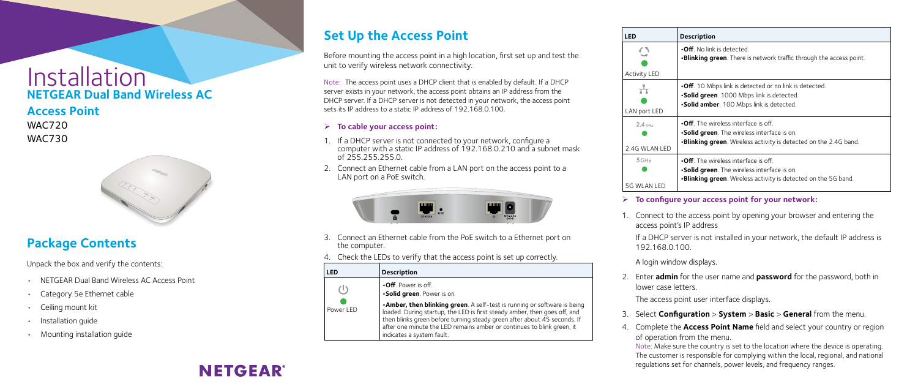# Installation **NETGEAR Dual Band Wireless AC**

**Access Point**

WAC720 WAC730



## **Set Up the Access Point**

Before mounting the access point in a high location, first set up and test the unit to verify wireless network connectivity.

Note: The access point uses a DHCP client that is enabled by default. If a DHCP server exists in your network, the access point obtains an IP address from the DHCP server. If a DHCP server is not detected in your network, the access point sets its IP address to a static IP address of 192.168.0.100.

#### ¾ **To cable your access point:**

- 1. If a DHCP server is not connected to your network, configure a computer with a static IP address of 192.168.0.210 and a subnet mask  $of 255.255.255.0$
- 2. Connect an Ethernet cable from a LAN port on the access point to a LAN port on a PoE switch.



- 3. Connect an Ethernet cable from the PoE switch to a Ethernet port on the computer.
- 4. Check the LEDs to verify that the access point is set up correctly.

1. Connect to the access point by opening your browser and entering the access point's IP address

| LED                                     | <b>Description</b>                                                                                                                                                                                                                                                                                                                        |
|-----------------------------------------|-------------------------------------------------------------------------------------------------------------------------------------------------------------------------------------------------------------------------------------------------------------------------------------------------------------------------------------------|
| $\left( \mathbb{T}\right)$<br>Power LED | $\cdot$ Off. Power is off.<br>·Solid green. Power is on.                                                                                                                                                                                                                                                                                  |
|                                         | . Amber, then blinking green. A self-test is running or software is being<br>loaded. During startup, the LED is first steady amber, then goes off, and<br>then blinks green before turning steady green after about 45 seconds. If<br>after one minute the LED remains amber or continues to blink green, it<br>indicates a system fault. |

### **Package Contents**

Unpack the box and verify the contents:

- NETGEAR Dual Band Wireless AC Access Point
- Category 5e Ethernet cable
- Ceiling mount kit
- Installation guide
- Mounting installation guide



- 
- 

| <b>Description</b>                                                                                                                                                   |  |  |
|----------------------------------------------------------------------------------------------------------------------------------------------------------------------|--|--|
| $\cdot$ <b>Off</b> . No link is detected.<br><b>.Blinking green</b> . There is network traffic through the access point.                                             |  |  |
| •Off. 10 Mbps link is detected or no link is detected.<br><b>Solid green</b> . 1000 Mbps link is detected.<br><b>Solid amber</b> . 100 Mbps link is detected.        |  |  |
| $\cdot$ Off The wireless interface is off<br><b>Solid green</b> . The wireless interface is on.<br>. Blinking green. Wireless activity is detected on the 2.4G band. |  |  |
| $\cdot$ Off. The wireless interface is off.                                                                                                                          |  |  |

**•Solid green**. The wireless interface is on.

**•Blinking green**. Wireless activity is detected on the 5G band.

#### ¾ **To configure your access point for your network:**

If a DHCP server is not installed in your network, the default IP address is

192.168.0.100.

A login window displays.

2. Enter **admin** for the user name and **password** for the password, both in

- lower case letters.
- 
- 



The access point user interface displays.

3. Select **Configuration** > **System** > **Basic** > **General** from the menu.

4. Complete the **Access Point Name** field and select your country or region of operation from the menu.

Note: Make sure the country is set to the location where the device is operating. The customer is responsible for complying within the local, regional, and national regulations set for channels, power levels, and frequency ranges.